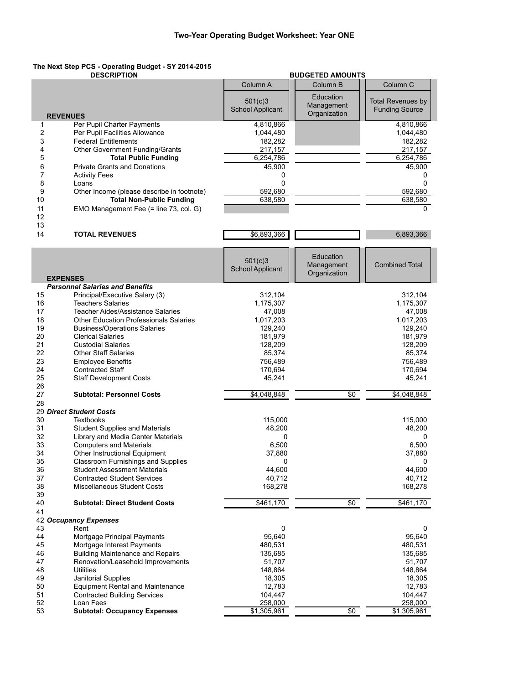## **The Next Step PCS - Operating Budget - SY 2014-2015**

|          | <b>DESCRIPTION</b>                                                    |                                    | <b>BUDGETED AMOUNTS</b>                 |                                                   |
|----------|-----------------------------------------------------------------------|------------------------------------|-----------------------------------------|---------------------------------------------------|
|          |                                                                       | Column A                           | Column B                                | Column C                                          |
|          |                                                                       | 501(c)3<br><b>School Applicant</b> | Education<br>Management<br>Organization | <b>Total Revenues by</b><br><b>Funding Source</b> |
|          | <b>REVENUES</b>                                                       |                                    |                                         |                                                   |
| 1        | Per Pupil Charter Payments<br>Per Pupil Facilities Allowance          | 4,810,866                          |                                         | 4,810,866                                         |
| 2        |                                                                       | 1,044,480                          |                                         | 1,044,480                                         |
| 3<br>4   | <b>Federal Entitlements</b><br><b>Other Government Funding/Grants</b> | 182,282                            |                                         | 182,282                                           |
| 5        | <b>Total Public Funding</b>                                           | 217,157<br>6,254,786               |                                         | 217,157<br>6,254,786                              |
| 6        | <b>Private Grants and Donations</b>                                   | 45,900                             |                                         | 45,900                                            |
| 7        | <b>Activity Fees</b>                                                  | 0                                  |                                         | 0                                                 |
| 8        | Loans                                                                 | 0                                  |                                         | $\Omega$                                          |
| 9        | Other Income (please describe in footnote)                            | 592,680                            |                                         | 592,680                                           |
| 10       | <b>Total Non-Public Funding</b>                                       | 638,580                            |                                         | 638,580                                           |
| 11       | EMO Management Fee (= line 73, col. G)                                |                                    |                                         | 0                                                 |
| 12       |                                                                       |                                    |                                         |                                                   |
| 13       |                                                                       |                                    |                                         |                                                   |
| 14       | <b>TOTAL REVENUES</b>                                                 | \$6,893,366                        |                                         | 6,893,366                                         |
|          |                                                                       |                                    |                                         |                                                   |
|          |                                                                       | 501(c)3                            | Education                               |                                                   |
|          |                                                                       | <b>School Applicant</b>            | Management                              | <b>Combined Total</b>                             |
|          | <b>EXPENSES</b>                                                       |                                    | Organization                            |                                                   |
|          | <b>Personnel Salaries and Benefits</b>                                |                                    |                                         |                                                   |
| 15       | Principal/Executive Salary (3)                                        | 312,104                            |                                         | 312,104                                           |
| 16       | <b>Teachers Salaries</b>                                              | 1,175,307                          |                                         | 1,175,307                                         |
| 17       | <b>Teacher Aides/Assistance Salaries</b>                              | 47,008                             |                                         | 47,008                                            |
| 18       | <b>Other Education Professionals Salaries</b>                         | 1,017,203                          |                                         | 1,017,203                                         |
| 19       | <b>Business/Operations Salaries</b>                                   | 129,240                            |                                         | 129,240                                           |
| 20       | <b>Clerical Salaries</b>                                              | 181,979                            |                                         | 181,979                                           |
| 21       | <b>Custodial Salaries</b>                                             | 128,209                            |                                         | 128,209                                           |
| 22       | <b>Other Staff Salaries</b>                                           | 85,374                             |                                         | 85,374                                            |
| 23       | <b>Employee Benefits</b>                                              | 756,489                            |                                         | 756,489                                           |
| 24       | <b>Contracted Staff</b>                                               | 170,694                            |                                         | 170,694                                           |
| 25       | <b>Staff Development Costs</b>                                        | 45,241                             |                                         | 45,241                                            |
| 26<br>27 | <b>Subtotal: Personnel Costs</b>                                      | \$4,048,848                        | \$0                                     | \$4,048,848                                       |
| 28       |                                                                       |                                    |                                         |                                                   |
|          | 29 Direct Student Costs                                               |                                    |                                         |                                                   |
| 30       | <b>Textbooks</b>                                                      | 115,000                            |                                         | 115,000                                           |
| 31       | <b>Student Supplies and Materials</b>                                 | 48,200                             |                                         | 48,200                                            |
| 32       | Library and Media Center Materials                                    | 0                                  |                                         | 0                                                 |
| 33       | <b>Computers and Materials</b>                                        | 6,500                              |                                         | 6,500                                             |
| 34       | Other Instructional Equipment                                         | 37,880                             |                                         | 37,880                                            |
| 35       | Classroom Furnishings and Supplies                                    | U                                  |                                         | U                                                 |
| 36       | <b>Student Assessment Materials</b>                                   | 44,600                             |                                         | 44,600                                            |
| 37       | <b>Contracted Student Services</b>                                    | 40,712                             |                                         | 40,712                                            |
| 38       | Miscellaneous Student Costs                                           | 168,278                            |                                         | 168,278                                           |
| 39<br>40 | <b>Subtotal: Direct Student Costs</b>                                 | \$461,170                          | $\overline{50}$                         | \$461,170                                         |
| 41       |                                                                       |                                    |                                         |                                                   |
|          | 42 Occupancy Expenses                                                 |                                    |                                         |                                                   |
| 43       | Rent                                                                  | 0                                  |                                         | $\mathsf 0$                                       |
| 44       | Mortgage Principal Payments                                           | 95,640                             |                                         | 95,640                                            |
| 45       | Mortgage Interest Payments                                            | 480,531                            |                                         | 480,531                                           |
| 46       | <b>Building Maintenance and Repairs</b>                               | 135,685                            |                                         | 135,685                                           |
| 47       | Renovation/Leasehold Improvements                                     | 51,707                             |                                         | 51,707                                            |
| 48       | Utilities                                                             | 148,864                            |                                         | 148,864                                           |
| 49       | Janitorial Supplies                                                   | 18,305                             |                                         | 18,305                                            |
| 50       | <b>Equipment Rental and Maintenance</b>                               | 12,783                             |                                         | 12,783                                            |
| 51       | <b>Contracted Building Services</b>                                   | 104,447                            |                                         | 104,447                                           |
| 52       | Loan Fees                                                             | 258,000                            |                                         | 258,000                                           |
| 53       | <b>Subtotal: Occupancy Expenses</b>                                   | \$1,305,961                        | $\overline{50}$                         | $\overline{$1,305,961}$                           |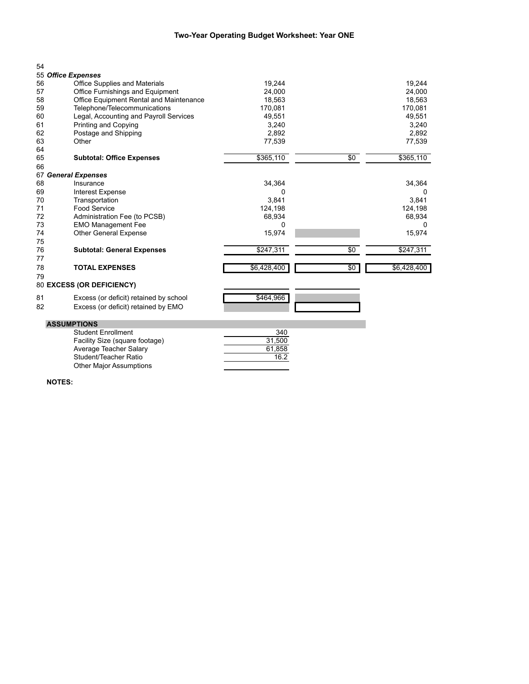## **Two-Year Operating Budget Worksheet: Year ONE**

| 54 |                                         |             |     |             |
|----|-----------------------------------------|-------------|-----|-------------|
|    | 55 Office Expenses                      |             |     |             |
| 56 | <b>Office Supplies and Materials</b>    | 19,244      |     | 19,244      |
| 57 | Office Furnishings and Equipment        | 24.000      |     | 24,000      |
| 58 | Office Equipment Rental and Maintenance | 18,563      |     | 18,563      |
| 59 | Telephone/Telecommunications            | 170,081     |     | 170,081     |
| 60 | Legal, Accounting and Payroll Services  | 49,551      |     | 49,551      |
| 61 | Printing and Copying                    | 3,240       |     | 3,240       |
| 62 | Postage and Shipping                    | 2.892       |     | 2,892       |
| 63 | Other                                   | 77,539      |     | 77,539      |
| 64 |                                         |             |     |             |
| 65 | <b>Subtotal: Office Expenses</b>        | \$365,110   | \$0 | \$365,110   |
| 66 |                                         |             |     |             |
|    | 67 General Expenses                     |             |     |             |
| 68 | Insurance                               | 34,364      |     | 34,364      |
| 69 | Interest Expense                        | 0           |     | 0           |
| 70 | Transportation                          | 3,841       |     | 3,841       |
| 71 | <b>Food Service</b>                     | 124,198     |     | 124,198     |
| 72 | Administration Fee (to PCSB)            | 68,934      |     | 68,934      |
| 73 | <b>EMO Management Fee</b>               | 0           |     | 0           |
| 74 | <b>Other General Expense</b>            | 15,974      |     | 15,974      |
| 75 |                                         |             |     |             |
| 76 | <b>Subtotal: General Expenses</b>       | \$247,311   | \$0 | \$247,311   |
| 77 |                                         |             |     |             |
| 78 | <b>TOTAL EXPENSES</b>                   | \$6,428,400 | \$0 | \$6,428,400 |
| 79 |                                         |             |     |             |
|    | 80 EXCESS (OR DEFICIENCY)               |             |     |             |
| 81 | Excess (or deficit) retained by school  | \$464,966   |     |             |
| 82 | Excess (or deficit) retained by EMO     |             |     |             |

## **ASSUMPTIONS**

| Student Enrollment             | 340    |
|--------------------------------|--------|
| Facility Size (square footage) | 31.500 |
| Average Teacher Salary         | 61.858 |
| Student/Teacher Ratio          | 16.2   |
| <b>Other Major Assumptions</b> |        |

**NOTES:**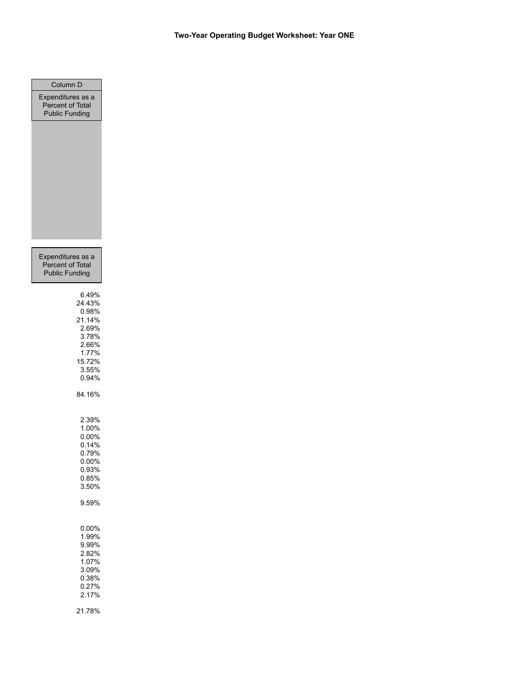| Column D              |
|-----------------------|
| Expenditures as a     |
| Percent of Total      |
| <b>Public Funding</b> |
|                       |
|                       |
|                       |
|                       |
|                       |
|                       |
|                       |
|                       |
|                       |
|                       |
|                       |
|                       |
|                       |
|                       |
|                       |
| Expenditures as a     |
| Percent of Total      |
| <b>Public Funding</b> |
|                       |
| 6.49%                 |
| 24.43%                |
| 0.98%                 |
| 21.14%                |
| 2.69%                 |
| 3.78%                 |
| 2.66%                 |
| 1.77%                 |
| 15.72%                |
| 3.55%                 |
| 0.94%                 |
| 84.16%                |
|                       |
|                       |
| 2.39%                 |
| 1.00%                 |
| 0.00%                 |
| 0.14%                 |
| 0.79%                 |
| $0.00\%$              |
| 0.93%                 |
| 0.85%                 |
| 3.50%                 |
|                       |
| 9.59%                 |
|                       |
|                       |
| 0.00%                 |
| 1.99%<br>9.99%        |
| 2.82%                 |
| 1.07%                 |
| 3.09%                 |
| 0.38%                 |
| 0.27%                 |
| 2.17%                 |
|                       |
| 21.78%                |